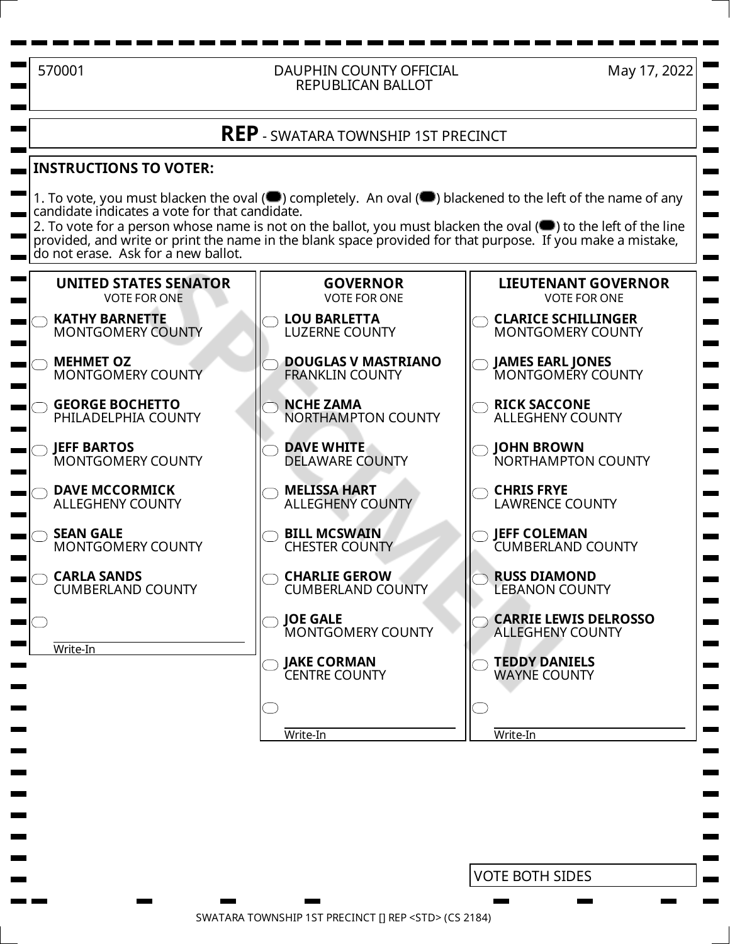## 570001 DAUPHIN COUNTY OFFICIAL REPUBLICAN BALLOT

May 17, 2022

## **REP** - SWATARA TOWNSHIP 1ST PRECINCT

## **INSTRUCTIONS TO VOTER:**

1. To vote, you must blacken the oval (<sup>1</sup>) completely. An oval (<sup>2</sup>) blackened to the left of the name of any candidate indicates a vote for that candidate.

2. To vote for a person whose name is not on the ballot, you must blacken the oval  $(\blacksquare)$  to the left of the line provided, and write or print the name in the blank space provided for that purpose. If you make a mistake, do not erase. Ask for a new ballot.